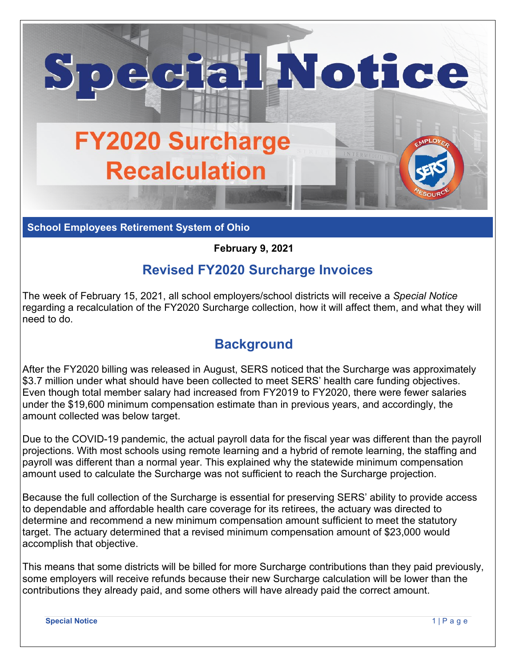

**School Employees Retirement System of Ohio**

## **February 9, 2021**

## **Revised FY2020 Surcharge Invoices**

The week of February 15, 2021, all school employers/school districts will receive a *Special Notice* regarding a recalculation of the FY2020 Surcharge collection, how it will affect them, and what they will need to do.

## **Background**

After the FY2020 billing was released in August, SERS noticed that the Surcharge was approximately \$3.7 million under what should have been collected to meet SERS' health care funding objectives. Even though total member salary had increased from FY2019 to FY2020, there were fewer salaries under the \$19,600 minimum compensation estimate than in previous years, and accordingly, the amount collected was below target.

Due to the COVID-19 pandemic, the actual payroll data for the fiscal year was different than the payroll projections. With most schools using remote learning and a hybrid of remote learning, the staffing and payroll was different than a normal year. This explained why the statewide minimum compensation amount used to calculate the Surcharge was not sufficient to reach the Surcharge projection.

Because the full collection of the Surcharge is essential for preserving SERS' ability to provide access to dependable and affordable health care coverage for its retirees, the actuary was directed to determine and recommend a new minimum compensation amount sufficient to meet the statutory target. The actuary determined that a revised minimum compensation amount of \$23,000 would accomplish that objective.

This means that some districts will be billed for more Surcharge contributions than they paid previously, some employers will receive refunds because their new Surcharge calculation will be lower than the contributions they already paid, and some others will have already paid the correct amount.